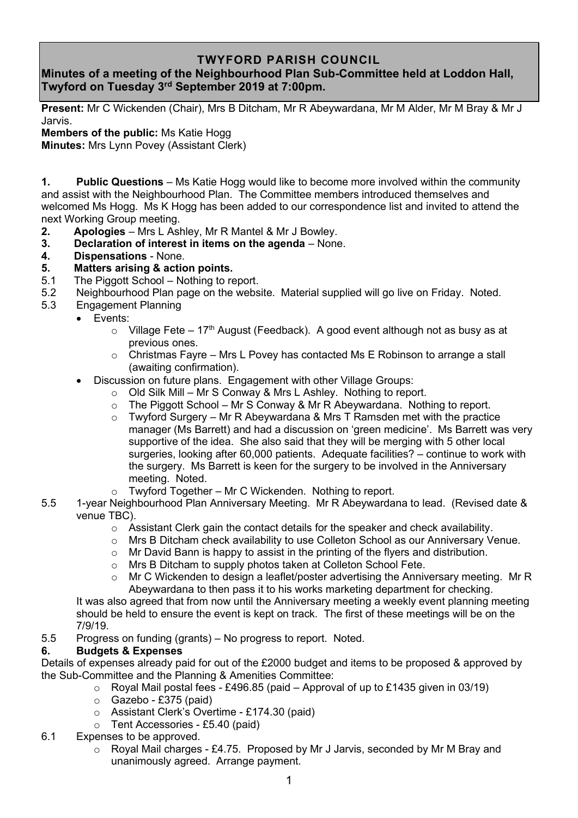## **TWYFORD PARISH COUNCIL**

## **Minutes of a meeting of the Neighbourhood Plan Sub-Committee held at Loddon Hall, Twyford on Tuesday 3 rd September 2019 at 7:00pm.**

**Present:** Mr C Wickenden (Chair), Mrs B Ditcham, Mr R Abeywardana, Mr M Alder, Mr M Bray & Mr J Jarvis.

**Members of the public:** Ms Katie Hogg

**Minutes:** Mrs Lynn Povey (Assistant Clerk)

**1. Public Questions** – Ms Katie Hogg would like to become more involved within the community and assist with the Neighbourhood Plan. The Committee members introduced themselves and welcomed Ms Hogg. Ms K Hogg has been added to our correspondence list and invited to attend the next Working Group meeting.

- **2. Apologies** Mrs L Ashley, Mr R Mantel & Mr J Bowley.
- **3. Declaration of interest in items on the agenda** None.
- **4. Dispensations** None.
- **5. Matters arising & action points.**
- 5.1 The Piggott School Nothing to report.
- 5.2 Neighbourhood Plan page on the website. Material supplied will go live on Friday. Noted.
- 5.3 Engagement Planning
	- Events:
		- $\circ$  Village Fete 17<sup>th</sup> August (Feedback). A good event although not as busy as at previous ones.
		- $\circ$  Christmas Favre Mrs L Povey has contacted Ms E Robinson to arrange a stall (awaiting confirmation).
		- Discussion on future plans. Engagement with other Village Groups:
			- o Old Silk Mill Mr S Conway & Mrs L Ashley. Nothing to report.
			- $\circ$  The Piggott School Mr S Conway & Mr R Abeywardana. Nothing to report.
			- $\circ$  Twyford Surgery Mr R Abeywardana & Mrs T Ramsden met with the practice manager (Ms Barrett) and had a discussion on 'green medicine'. Ms Barrett was very supportive of the idea. She also said that they will be merging with 5 other local surgeries, looking after 60,000 patients. Adequate facilities? – continue to work with the surgery. Ms Barrett is keen for the surgery to be involved in the Anniversary meeting. Noted.
			- $\circ$  Twyford Together Mr C Wickenden. Nothing to report.
- 5.5 1-year Neighbourhood Plan Anniversary Meeting. Mr R Abeywardana to lead. (Revised date & venue TBC).
	- o Assistant Clerk gain the contact details for the speaker and check availability.
	- o Mrs B Ditcham check availability to use Colleton School as our Anniversary Venue.
	- $\circ$  Mr David Bann is happy to assist in the printing of the flyers and distribution.
	- o Mrs B Ditcham to supply photos taken at Colleton School Fete.
	- $\circ$  Mr C Wickenden to design a leaflet/poster advertising the Anniversary meeting. Mr R Abeywardana to then pass it to his works marketing department for checking.

It was also agreed that from now until the Anniversary meeting a weekly event planning meeting should be held to ensure the event is kept on track. The first of these meetings will be on the 7/9/19.

5.5 Progress on funding (grants) – No progress to report. Noted.

## **6. Budgets & Expenses**

Details of expenses already paid for out of the £2000 budget and items to be proposed & approved by the Sub-Committee and the Planning & Amenities Committee:

- $\circ$  Royal Mail postal fees £496.85 (paid Approval of up to £1435 given in 03/19)
- $\circ$  Gazebo £375 (paid)
- o Assistant Clerk's Overtime £174.30 (paid)
- $\circ$  Tent Accessories £5.40 (paid)
- 6.1 Expenses to be approved.
	- o Royal Mail charges £4.75. Proposed by Mr J Jarvis, seconded by Mr M Bray and unanimously agreed. Arrange payment.